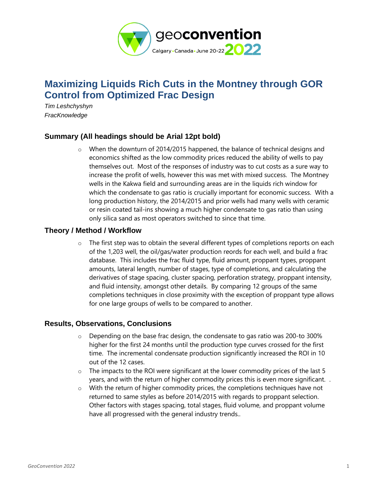

# **Maximizing Liquids Rich Cuts in the Montney through GOR Control from Optimized Frac Design**

*Tim Leshchyshyn FracKnowledge*

## **Summary (All headings should be Arial 12pt bold)**

o When the downturn of 2014/2015 happened, the balance of technical designs and economics shifted as the low commodity prices reduced the ability of wells to pay themselves out. Most of the responses of industry was to cut costs as a sure way to increase the profit of wells, however this was met with mixed success. The Montney wells in the Kakwa field and surrounding areas are in the liquids rich window for which the condensate to gas ratio is crucially important for economic success. With a long production history, the 2014/2015 and prior wells had many wells with ceramic or resin coated tail-ins showing a much higher condensate to gas ratio than using only silica sand as most operators switched to since that time.

## **Theory / Method / Workflow**

 $\circ$  The first step was to obtain the several different types of completions reports on each of the 1,203 well, the oil/gas/water production reords for each well, and build a frac database. This includes the frac fluid type, fluid amount, proppant types, proppant amounts, lateral length, number of stages, type of completions, and calculating the derivatives of stage spacing, cluster spacing, perforation strategy, proppant intensity, and fluid intensity, amongst other details. By comparing 12 groups of the same completions techniques in close proximity with the exception of proppant type allows for one large groups of wells to be compared to another.

## **Results, Observations, Conclusions**

- $\circ$  Depending on the base frac design, the condensate to gas ratio was 200-to 300% higher for the first 24 months until the production type curves crossed for the first time. The incremental condensate production significantly increased the ROI in 10 out of the 12 cases.
- o The impacts to the ROI were significant at the lower commodity prices of the last 5 years, and with the return of higher commodity prices this is even more significant. .
- o With the return of higher commodity prices, the completions techniques have not returned to same styles as before 2014/2015 with regards to proppant selection. Other factors with stages spacing, total stages, fluid volume, and proppant volume have all progressed with the general industry trends..